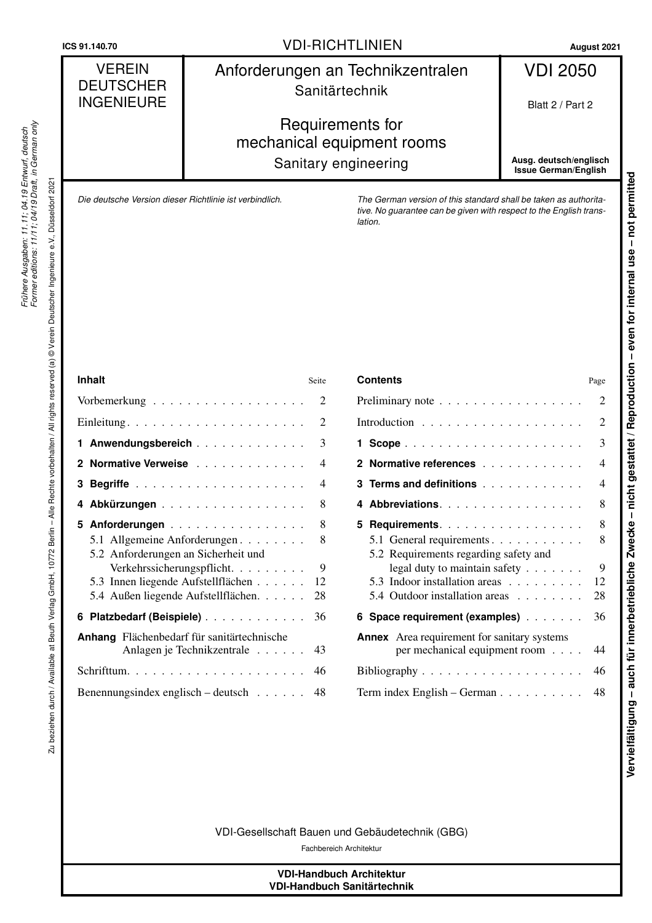## VDI-RICHTLINIEN **ICS 91.140.70 August 2021**

#### VEREIN **DEUTSCHER** INGENIEURE Anforderungen an Technikzentralen Sanitärtechnik VDI 2050 Blatt 2 / Part 2

# Requirements for mechanical equipment rooms Sanitary engineering

**Ausg. deutsch/englisch Issue German/English**

*Die deutsche Version dieser Richtlinie ist verbindlich.*

*The German version of this standard shall be taken as authoritative. No guarantee can be given with respect to the English translation.* 

Zu beziehen durch / Available at Beuth Verlag GmbH, 10772 Berlin – Alle Rechte vorbehalten / All rights reserved (a) © Verein Deutscher Ingenieure e.V., Düsseldorf 2021

Zu beziehen durch / Available at Beuth Verlag GmbH, 10772 Berlin – Alle Rechte vorbehalten / All rights reserved (a) © Verein Deutscher Ingenieure e.V.,

| <b>Inhalt</b><br>Seite                            |                                           |                |  |
|---------------------------------------------------|-------------------------------------------|----------------|--|
|                                                   |                                           | 2              |  |
|                                                   |                                           | $\overline{2}$ |  |
|                                                   | 1 Anwendungsbereich                       | 3              |  |
|                                                   | 2 Normative Verweise                      | $\overline{4}$ |  |
|                                                   |                                           | $\overline{4}$ |  |
|                                                   | 4 Abkürzungen                             | 8              |  |
|                                                   | 5 Anforderungen                           | 8              |  |
|                                                   | 5.1 Allgemeine Anforderungen              | 8              |  |
|                                                   | 5.2 Anforderungen an Sicherheit und       |                |  |
|                                                   | Verkehrssicherungspflicht.                | 9              |  |
|                                                   | 5.3 Innen liegende Aufstellflächen<br>12  |                |  |
|                                                   | 5.4 Außen liegende Aufstellflächen.<br>28 |                |  |
|                                                   | 6 Platzbedarf (Beispiele)<br>36           |                |  |
| Anhang Flächenbedarf für sanitärtechnische        |                                           |                |  |
|                                                   | Anlagen je Technikzentrale<br>43          |                |  |
|                                                   |                                           |                |  |
| Benennungsindex englisch – deutsch $\ldots$<br>48 |                                           |                |  |

| <b>Contents</b><br>Page                            |                                                                        |                          |  |
|----------------------------------------------------|------------------------------------------------------------------------|--------------------------|--|
| Preliminary note                                   |                                                                        |                          |  |
|                                                    |                                                                        | 2                        |  |
|                                                    |                                                                        | 3                        |  |
|                                                    | 2 Normative references                                                 | $\overline{\mathcal{L}}$ |  |
|                                                    | 3 Terms and definitions                                                | $\overline{\mathcal{L}}$ |  |
| 4                                                  | Abbreviations.                                                         | 8                        |  |
| 5.                                                 | Requirements.                                                          | 8                        |  |
|                                                    | 5.1 General requirements                                               | 8                        |  |
|                                                    | 5.2 Requirements regarding safety and<br>legal duty to maintain safety | 9                        |  |
|                                                    | 5.3 Indoor installation areas                                          | 12                       |  |
|                                                    | 5.4 Outdoor installation areas                                         | 28                       |  |
|                                                    |                                                                        |                          |  |
|                                                    | 6 Space requirement (examples)                                         | 36                       |  |
| <b>Annex</b> Area requirement for sanitary systems |                                                                        |                          |  |
|                                                    | per mechanical equipment room                                          | 44                       |  |
|                                                    |                                                                        |                          |  |
| Term index English – German                        |                                                                        |                          |  |
|                                                    |                                                                        |                          |  |

VDI-Gesellschaft Bauen und Gebäudetechnik (GBG)

Fachbereich Architektur

#### **VDI-Handbuch Architektur VDI-Handbuch Sanitärtechnik**

Düsseldorf 2021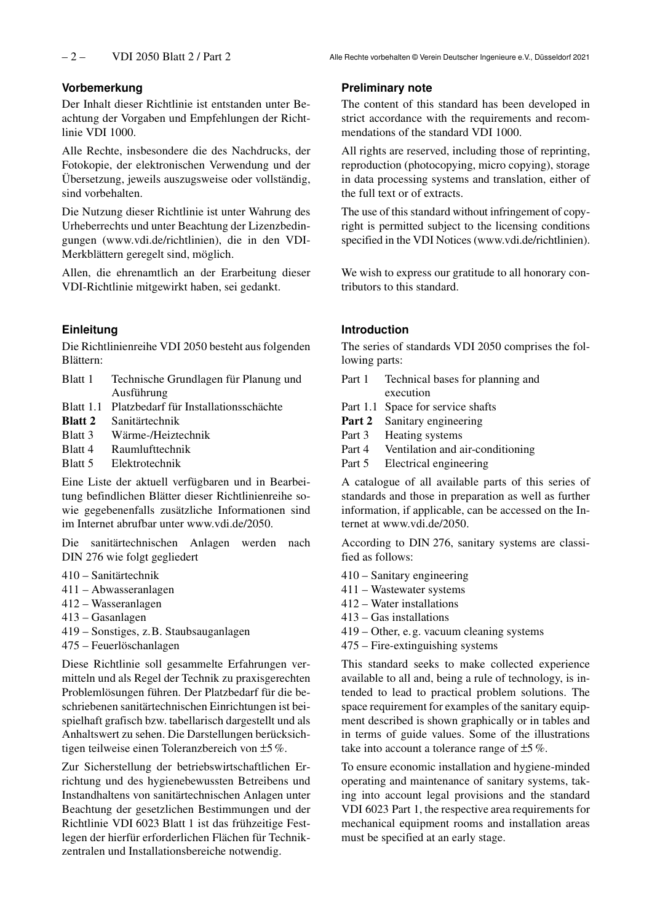#### <span id="page-1-0"></span>**Vorbemerkung**

Der Inhalt dieser Richtlinie ist entstanden unter Beachtung der Vorgaben und Empfehlungen der Richtlinie VDI 1000.

Alle Rechte, insbesondere die des Nachdrucks, der Fotokopie, der elektronischen Verwendung und der Übersetzung, jeweils auszugsweise oder vollständig, sind vorbehalten.

Die Nutzung dieser Richtlinie ist unter Wahrung des Urheberrechts und unter Beachtung der Lizenzbedingungen (www.vdi.de/richtlinien), die in den VDI-Merkblättern geregelt sind, möglich.

Allen, die ehrenamtlich an der Erarbeitung dieser VDI-Richtlinie mitgewirkt haben, sei gedankt.

#### <span id="page-1-1"></span>**Einleitung**

Die Richtlinienreihe VDI 2050 besteht aus folgenden Blättern:

- Blatt 1 Technische Grundlagen für Planung und Ausführung
- Blatt 1.1 Platzbedarf für Installationsschächte
- **Blatt 2** Sanitärtechnik
- Blatt 3 Wärme-/Heiztechnik
- Blatt 4 Raumlufttechnik
- Blatt 5 Elektrotechnik

Eine Liste der aktuell verfügbaren und in Bearbeitung befindlichen Blätter dieser Richtlinienreihe sowie gegebenenfalls zusätzliche Informationen sind im Internet abrufbar unter www.vdi.de/2050.

Die sanitärtechnischen Anlagen werden nach DIN 276 wie folgt gegliedert

- 410 Sanitärtechnik
- 411 Abwasseranlagen
- 412 Wasseranlagen
- 413 Gasanlagen
- 419 Sonstiges, z.B. Staubsauganlagen
- 475 Feuerlöschanlagen

Diese Richtlinie soll gesammelte Erfahrungen vermitteln und als Regel der Technik zu praxisgerechten Problemlösungen führen. Der Platzbedarf für die beschriebenen sanitärtechnischen Einrichtungen ist beispielhaft grafisch bzw. tabellarisch dargestellt und als Anhaltswert zu sehen. Die Darstellungen berücksichtigen teilweise einen Toleranzbereich von ±5 %.

Zur Sicherstellung der betriebswirtschaftlichen Errichtung und des hygienebewussten Betreibens und Instandhaltens von sanitärtechnischen Anlagen unter Beachtung der gesetzlichen Bestimmungen und der Richtlinie VDI 6023 Blatt 1 ist das frühzeitige Festlegen der hierfür erforderlichen Flächen für Technikzentralen und Installationsbereiche notwendig.

#### <span id="page-1-2"></span>**Preliminary note**

The content of this standard has been developed in strict accordance with the requirements and recommendations of the standard VDI 1000.

All rights are reserved, including those of reprinting, reproduction (photocopying, micro copying), storage in data processing systems and translation, either of the full text or of extracts.

The use of this standard without infringement of copyright is permitted subject to the licensing conditions specified in the VDI Notices (www.vdi.de/richtlinien).

We wish to express our gratitude to all honorary contributors to this standard.

### <span id="page-1-3"></span>**Introduction**

The series of standards VDI 2050 comprises the following parts:

- Part 1 Technical bases for planning and execution
- Part 1.1 Space for service shafts
- **Part 2** Sanitary engineering
- Part 3 Heating systems
- Part 4 Ventilation and air-conditioning
- Part 5 Electrical engineering

A catalogue of all available parts of this series of standards and those in preparation as well as further information, if applicable, can be accessed on the Internet at www.vdi.de/2050.

According to DIN 276, sanitary systems are classified as follows:

- 410 Sanitary engineering
- 411 Wastewater systems
- 412 Water installations
- 413 Gas installations
- 419 Other, e.g. vacuum cleaning systems
- 475 Fire-extinguishing systems

This standard seeks to make collected experience available to all and, being a rule of technology, is intended to lead to practical problem solutions. The space requirement for examples of the sanitary equipment described is shown graphically or in tables and in terms of guide values. Some of the illustrations take into account a tolerance range of  $\pm 5\%$ .

To ensure economic installation and hygiene-minded operating and maintenance of sanitary systems, taking into account legal provisions and the standard VDI 6023 Part 1, the respective area requirements for mechanical equipment rooms and installation areas must be specified at an early stage.